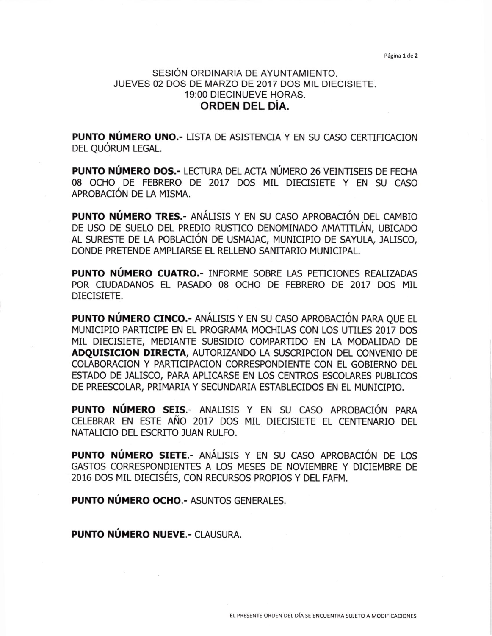Página 1 de 2

## SESIÓN ORDINARIA DE AYUNTAMIENTO. JUEVES 02 DOS DE MARZO DE 2017 DOS MIL DIECISIETE. 19:00 DIECINUEVE HORAS. ORDEN DEL DiA.

PUNTO NÚMERO UNO.- LISTA DE ASISTENCIA Y EN SU CASO CERTIFICACION DEL QUÓRUM LEGAL.

PUNTO NÚMERO DOS. - LECTURA DEL ACTA NÚMERO 26 VEINTISEIS DE FECHA OB OCHO DE FEBRERO DE 2OI7 DOS MIL DIECISIETE Y EN SU CASO APROBACIóN DE LA MISMA.

PUNTO NÚMERO TRES.- ANÁUSIS Y EN SU CASO APROBACIÓN DEL CAMBIO DE USO DE SUELO DEL PREDIO RUSTICO DENOMINADO AMATITLÁN, UBICADO AL SURESTE DE LA POBLACIÓN DE USMAJAC, MUNICIPIO DE SAYULA, JAUSCO, DONDE PRETENDE AMPUARSE EL RELLENO SANITARIO MUNICIPAL.

PUNTO NÚMERO CUATRO.- INFORME SOBRE LAS PETICIONES REALIZADAS POR CIUDADANOS EL PASADO 08 OCHO DE FEBRERO DE 2077 DOS MIL DIECISIETE.

PUNTO NÚMERO CINCO.- ANÁLISIS Y EN SU CASO APROBACIÓN PARA QUE EL MUNICIPIO PARTICIPE EN EL PROGRAMA MOCHILAS CON LOS UTILES 2017 DOS MIL DIECISIETE, MEDIANTE SUBSIDIO COMPARTIDO EN LA MODAUDAD DE ADQUISICION DIRECTA, AUTORIZANDO LA SUSCRIPCION DEL CONVENIO DE COLABORACION Y PARTICIPACION CORRESPONDIENTE CON EL GOBIERNO DEL ESTADO DE ]ALISCO, PARA APUCARSE EN LOS CENTROS ESCOLARES PUBLICOS DE PREESCOLAR, PRIMARIA Y SECUNDARIA ESTABLECIDOS EN EL MUNICIPIO.

PUNTO NÚMERO SEIS.- ANALISIS Y EN SU CASO APROBACIÓN PARA CELEBRAR EN ESTE AÑO 2017 DOS MIL DIECISIETE EL CENTENARIO DEL NATALICIO DEL ESCRITO ]UAN RULFO.

PUNTO NÚMERO SIETE.- ANÁLISIS Y EN SU CASO APROBACIÓN DE LOS GASTOS CORRESPONDIENTES A LOS MESES DE NOVIEMBRE Y DICIEMBRE DE 2016 DOS MIL DIECISÉIS, CON RECURSOS PROPIOS Y DEL FAFM.

PUNTO NÚMERO OCHO. - ASUNTOS GENERALES.

PUNTO NÚMERO NUEVE.- CLAUSURA.